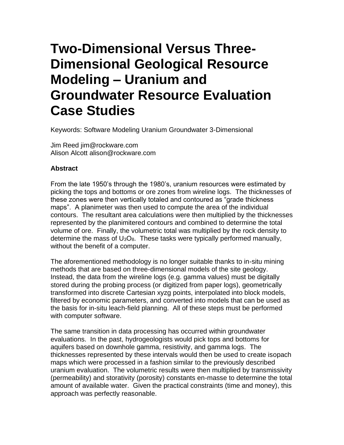## **Two-Dimensional Versus Three-Dimensional Geological Resource Modeling – Uranium and Groundwater Resource Evaluation Case Studies**

Keywords: Software Modeling Uranium Groundwater 3-Dimensional

Jim Reed jim@rockware.com Alison Alcott alison@rockware.com

## **Abstract**

From the late 1950's through the 1980's, uranium resources were estimated by picking the tops and bottoms or ore zones from wireline logs. The thicknesses of these zones were then vertically totaled and contoured as "grade thickness maps". A planimeter was then used to compute the area of the individual contours. The resultant area calculations were then multiplied by the thicknesses represented by the planimitered contours and combined to determine the total volume of ore. Finally, the volumetric total was multiplied by the rock density to determine the mass of  $U_3O_8$ . These tasks were typically performed manually, without the benefit of a computer.

The aforementioned methodology is no longer suitable thanks to in-situ mining methods that are based on three-dimensional models of the site geology. Instead, the data from the wireline logs (e.g. gamma values) must be digitally stored during the probing process (or digitized from paper logs), geometrically transformed into discrete Cartesian xyzg points, interpolated into block models, filtered by economic parameters, and converted into models that can be used as the basis for in-situ leach-field planning. All of these steps must be performed with computer software.

The same transition in data processing has occurred within groundwater evaluations. In the past, hydrogeologists would pick tops and bottoms for aquifers based on downhole gamma, resistivity, and gamma logs. The thicknesses represented by these intervals would then be used to create isopach maps which were processed in a fashion similar to the previously described uranium evaluation. The volumetric results were then multiplied by transmissivity (permeability) and storativity (porosity) constants en-masse to determine the total amount of available water. Given the practical constraints (time and money), this approach was perfectly reasonable.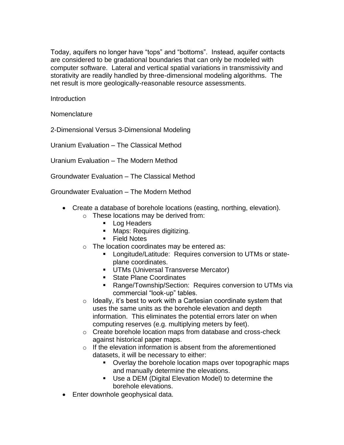Today, aquifers no longer have "tops" and "bottoms". Instead, aquifer contacts are considered to be gradational boundaries that can only be modeled with computer software. Lateral and vertical spatial variations in transmissivity and storativity are readily handled by three-dimensional modeling algorithms. The net result is more geologically-reasonable resource assessments.

Introduction

Nomenclature

2-Dimensional Versus 3-Dimensional Modeling

Uranium Evaluation – The Classical Method

Uranium Evaluation – The Modern Method

Groundwater Evaluation – The Classical Method

Groundwater Evaluation – The Modern Method

- Create a database of borehole locations (easting, northing, elevation).
	- o These locations may be derived from:
		- Log Headers
		- Maps: Requires digitizing.
		- Field Notes
	- o The location coordinates may be entered as:
		- **EXEC** Longitude/Latitude: Requires conversion to UTMs or stateplane coordinates.
		- **UTMs (Universal Transverse Mercator)**
		- State Plane Coordinates
		- Range/Township/Section: Requires conversion to UTMs via commercial "look-up" tables.
	- $\circ$  Ideally, it's best to work with a Cartesian coordinate system that uses the same units as the borehole elevation and depth information. This eliminates the potential errors later on when computing reserves (e.g. multiplying meters by feet).
	- o Create borehole location maps from database and cross-check against historical paper maps.
	- o If the elevation information is absent from the aforementioned datasets, it will be necessary to either:
		- Overlay the borehole location maps over topographic maps and manually determine the elevations.
		- Use a DEM (Digital Elevation Model) to determine the borehole elevations.
- Enter downhole geophysical data.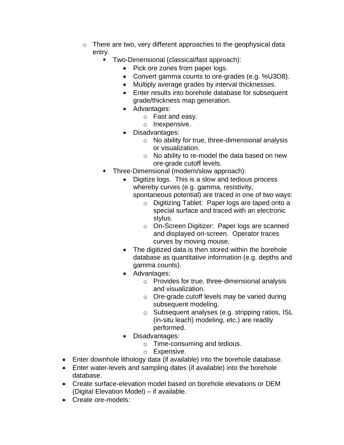- o There are two, very different approaches to the geophysical data entry.
	- Two-Dimensional (classical/fast approach):
		- Pick ore zones from paper logs.
		- Convert gamma counts to ore-grades (e.g. %U3O8).
		- Multiply average grades by interval thicknesses.
		- Enter results into borehole database for subsequent grade/thickness map generation.
		- Advantages:
			- o Fast and easy.
			- o Inexpensive.
		- Disadvantages:
			- o No ability for true, three-dimensional analysis or visualization.
			- o No ability to re-model the data based on new ore-grade cutoff levels.
	- Three-Dimensional (modern/slow approach):
		- Digitize logs. This is a slow and tedious process whereby curves (e.g. gamma, resistivity,

spontaneous potential) are traced in one of two ways:

- o Digitizing Tablet: Paper logs are taped onto a special surface and traced with an electronic stylus.
- o On-Screen Digitizer: Paper logs are scanned and displayed on-screen. Operator traces curves by moving mouse.
- The digitized data is then stored within the borehole database as quantitative information (e.g. depths and gamma counts).
- Advantages:
	- o Provides for true, three-dimensional analysis and visualization.
	- o Ore-grade cutoff levels may be varied during subsequent modeling.
	- o Subsequent analyses (e.g. stripping ratios, ISL (in-situ leach) modeling, etc.) are readily performed.
- Disadvantages:
	- o Time-consuming and tedious.
	- o Expensive.
- Enter downhole lithology data (if available) into the borehole database.
- Enter water-levels and sampling dates (if available) into the borehole database.
- Create surface-elevation model based on borehole elevations or DEM (Digital Elevation Model) – if available.
- Create ore-models: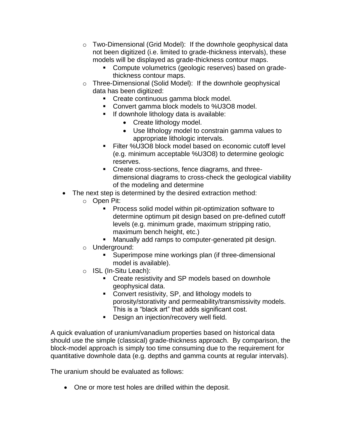- o Two-Dimensional (Grid Model): If the downhole geophysical data not been digitized (i.e. limited to grade-thickness intervals), these models will be displayed as grade-thickness contour maps.
	- Compute volumetrics (geologic reserves) based on gradethickness contour maps.
- o Three-Dimensional (Solid Model): If the downhole geophysical data has been digitized:
	- Create continuous gamma block model.
	- Convert gamma block models to %U3O8 model.
	- If downhole lithology data is available:
		- Create lithology model.
		- Use lithology model to constrain gamma values to appropriate lithologic intervals.
	- Filter %U3O8 block model based on economic cutoff level (e.g. minimum acceptable %U3O8) to determine geologic reserves.
	- Create cross-sections, fence diagrams, and threedimensional diagrams to cross-check the geological viability of the modeling and determine
- The next step is determined by the desired extraction method:
	- o Open Pit:
		- Process solid model within pit-optimization software to determine optimum pit design based on pre-defined cutoff levels (e.g. minimum grade, maximum stripping ratio, maximum bench height, etc.)
		- Manually add ramps to computer-generated pit design.
		- o Underground:
			- Superimpose mine workings plan (if three-dimensional model is available).
		- o ISL (In-Situ Leach):
			- Create resistivity and SP models based on downhole geophysical data.
			- Convert resistivity, SP, and lithology models to porosity/storativity and permeability/transmissivity models. This is a "black art" that adds significant cost.
			- **Design an injection/recovery well field.**

A quick evaluation of uranium/vanadium properties based on historical data should use the simple (classical) grade-thickness approach. By comparison, the block-model approach is simply too time consuming due to the requirement for quantitative downhole data (e.g. depths and gamma counts at regular intervals).

The uranium should be evaluated as follows:

• One or more test holes are drilled within the deposit.